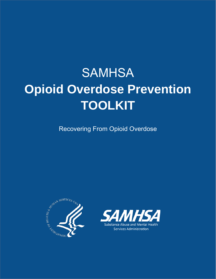# **SAMHSA Opioid Overdose Prevention TOOLKIT**

Recovering From Opioid Overdose



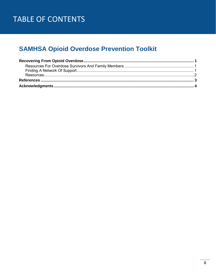# TABLE OF CONTENTS

# **SAMHSA Opioid Overdose Prevention Toolkit**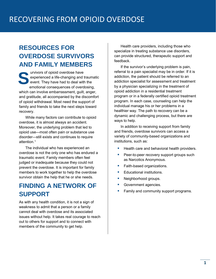# <span id="page-3-1"></span>**RESOURCES FOR OVERDOSE SURVIVORS AND FAMILY MEMBERS**

<span id="page-3-0"></span> event. They have had to deal with the **Survivors of opioid overdose have experienced a life-changing and t<br>event. They have had to deal with<br>emotional consequences of overd** experienced a life-changing and traumatic emotional consequences of overdosing, which can involve embarrassment, guilt, anger, and gratitude, all accompanied by the discomfort of opioid withdrawal. Most need the support of family and friends to take the next steps toward recovery.

 overdose, it is almost always an accident. Moreover, the underlying problem that led to disorder—still exists and continues to require While many factors can contribute to opioid opioid use—most often pain or substance use attention. 1

 The individual who has experienced an overdose is not the only one who has endured a traumatic event. Family members often feel judged or inadequate because they could not prevent the overdose. It is important for family members to work together to help the overdose survivor obtain the help that he or she needs.

# <span id="page-3-2"></span>**FINDING A NETWORK OF SUPPORT**

 As with any health condition, it is not a sign of weakness to admit that a person or a family issues without help. It takes real courage to reach members of the community to get help. cannot deal with overdose and its associated out to others for support and to connect with

Health care providers, including those who specialize in treating substance use disorders, can provide structured, therapeutic support and feedback.

 referral to a pain specialist may be in order. If it is by a physician specializing in the treatment of opioid addiction in a residential treatment program or in a federally certified opioid treatment program. In each case, counseling can help the healthier way. The path to recovery can be a If the survivor's underlying problem is pain, addiction, the patient should be referred to an addiction specialist for assessment and treatment individual manage his or her problems in a dynamic and challenging process, but there are ways to help.

 and friends, overdose survivors can access a institutions, such as: In addition to receiving support from family variety of community-based organizations and

- Health care and behavioral health providers.
- Peer-to-peer recovery support groups such as Narcotics Anonymous.
- Faith-based organizations.
- **Educational institutions.**
- **Neighborhood groups.**
- **Government agencies.**
- Family and community support programs.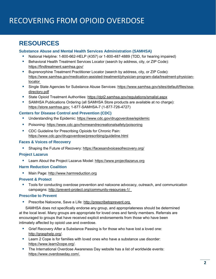# RECOVERING FROM OPIOID OVERDOSE

# <span id="page-4-0"></span>**RESOURCES**

#### **Substance Abuse and Mental Health Services Administration (SAMHSA)**

- National Helpline: 1-800-662-HELP (4357) or 1-800-487-4889 (TDD, for hearing impaired)
- **Behavioral Health Treatment Services Locator (search by address, city, or ZIP Code):** <https://findtreatment.samhsa.gov/>
- **Buprenorphine Treatment Practitioner Locator (search by address, city, or ZIP Code):**  locator [https://www.samhsa.gov/medication-assisted-treatment/physician-program-data/treatment-physician-](https://www.samhsa.gov/medication-assisted-treatment/physician-program-data/treatment-physician-locator)
- directory.pdf Single State Agencies for Substance Abuse Services: [https://www.samhsa.gov/sites/default/files/ssa-](https://www.samhsa.gov/sites/default/files/ssa-directory.pdf)
- State Opioid Treatment Authorities:<https://dpt2.samhsa.gov/regulations/smalist.aspx>
- SAMHSA Publications Ordering (all SAMHSA Store products are available at no charge): [https://store.samhsa.gov;](https://store.samhsa.gov/) 1-877-SAMHSA-7 (1-877-726-4727)

#### **Centers for Disease Control and Prevention (CDC)**

- Understanding the Epidemic:<https://www.cdc.gov/drugoverdose/epidemic>
- **Poisoning:<https://www.cdc.gov/homeandrecreationalsafety/poisoning>**
- **CDC Guideline for Prescribing Opioids for Chronic Pain:** <https://www.cdc.gov/drugoverdose/prescribing/guideline.html>

#### **Faces & Voices of Recovery**

Shaping the Future of Recovery:<https://facesandvoicesofrecovery.org/>

#### **Project Lazarus**

Learn About the Project Lazarus Model: [https://www.projectlazarus.org](https://www.projectlazarus.org/)

#### **Harm Reduction Coalition**

Main Page: [http://www.harmreduction.org](http://www.harmreduction.org/)

#### **Prevent & Protect**

 campaigns:<http://prevent-protect.org/community-resources-1/> Tools for conducting overdose prevention and naloxone advocacy, outreach, and communication

#### **Prescribe to Prevent**

Prescribe Naloxone, Save a Life: [http://prescribetoprevent.org](http://prescribetoprevent.org/)

SAMHSA does not specifically endorse any group, and appropriateness should be determined at the local level. Many groups are appropriate for loved ones and family members. Referrals are encouraged to groups that have received explicit endorsements from those who have been intimately affected by opioid use and overdose.

- Grief Recovery After a Substance Passing is for those who have lost a loved one: [http://grasphelp.org/.](http://grasphelp.org/)
- **EXECOM** Learn 2 Cope is for families with loved ones who have a substance use disorder: [https://www.learn2cope.org/.](https://www.learn2cope.org/)
- **The International Overdose Awareness Day website has a list of worldwide events:** [https://www.overdoseday.com/.](https://www.overdoseday.com/)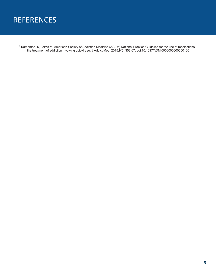# **REFERENCES**

<span id="page-5-0"></span>1 Kampman, K, Jarvis M. American Society of Addiction Medicine (ASAM) National Practice Guideline for the use of medications in the treatment of addiction involving opioid use. J Addict Med. 2015;9(5):358-67. doi:10.1097/ADM.0000000000000166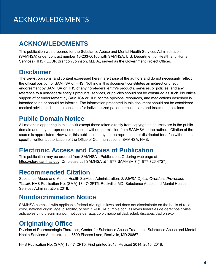# <span id="page-6-0"></span>**ACKNOWLEDGMENTS**

This publication was prepared for the Substance Abuse and Mental Health Services Administration (SAMHSA) under contract number 10-233-00100 with SAMHSA, U.S. Department of Health and Human Services (HHS). LCDR Brandon Johnson, M.B.A., served as the Government Project Officer.

### **Disclaimer**

The views, opinions, and content expressed herein are those of the authors and do not necessarily reflect the official position of SAMHSA or HHS. Nothing in this document constitutes an indirect or direct endorsement by SAMHSA or HHS of any non-federal entity's products, services, or policies, and any reference to a non-federal entity's products, services, or policies should not be construed as such. No official support of or endorsement by SAMHSA or HHS for the opinions, resources, and medications described is intended to be or should be inferred. The information presented in this document should not be considered medical advice and is not a substitute for individualized patient or client care and treatment decisions.

# **Public Domain Notice**

All materials appearing in this toolkit except those taken directly from copyrighted sources are in the public domain and may be reproduced or copied without permission from SAMHSA or the authors. Citation of the source is appreciated. However, this publication may not be reproduced or distributed for a fee without the specific, written authorization of the Office of Communications, SAMHSA, HHS.

### **Electronic Access and Copies of Publication**

This publication may be ordered from SAMHSA's Publications Ordering web page at [https://store.samhsa.gov.](https://store.samhsa.gov/) Or, please call SAMHSA at 1-877-SAMHSA-7 (1-877-726-4727).

### **Recommended Citation**

Substance Abuse and Mental Health Services Administration*. SAMHSA Opioid Overdose Prevention Toolkit.* HHS Publication No. (SMA) 18-4742PT5. Rockville, MD: Substance Abuse and Mental Health Services Administration, 2018.

### **Nondiscrimination Notice**

SAMHSA complies with applicable federal civil rights laws and does not discriminate on the basis of race, color, national origin, age, disability, or sex. SAMHSA cumple con las leyes federales de derechos civiles aplicables y no discrimina por motivos de raza, color, nacionalidad, edad, discapacidad o sexo.

### **Originating Office**

Division of Pharmacologic Therapies, Center for Substance Abuse Treatment, Substance Abuse and Mental Health Services Administration, 5600 Fishers Lane, Rockville, MD 20857.

HHS Publication No. (SMA) 18-4742PT5. First printed 2013. Revised 2014, 2016, 2018.